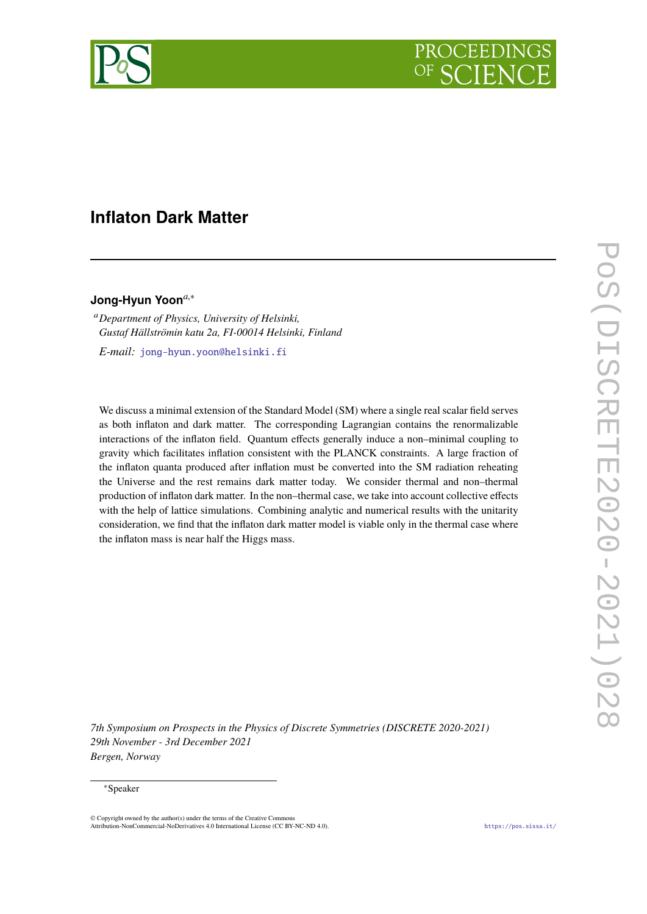

# **Inflaton Dark Matter**

# **Jong-Hyun Yoon***a*,<sup>∗</sup>

<sup>a</sup>*Department of Physics, University of Helsinki, Gustaf Hällströmin katu 2a, FI-00014 Helsinki, Finland*

*E-mail:* [jong-hyun.yoon@helsinki.fi](mailto:jong-hyun.yoon@helsinki.fi)

We discuss a minimal extension of the Standard Model (SM) where a single real scalar field serves as both inflaton and dark matter. The corresponding Lagrangian contains the renormalizable interactions of the inflaton field. Quantum effects generally induce a non–minimal coupling to gravity which facilitates inflation consistent with the PLANCK constraints. A large fraction of the inflaton quanta produced after inflation must be converted into the SM radiation reheating the Universe and the rest remains dark matter today. We consider thermal and non–thermal production of inflaton dark matter. In the non–thermal case, we take into account collective effects with the help of lattice simulations. Combining analytic and numerical results with the unitarity consideration, we find that the inflaton dark matter model is viable only in the thermal case where the inflaton mass is near half the Higgs mass.

*7th Symposium on Prospects in the Physics of Discrete Symmetries (DISCRETE 2020-2021) 29th November - 3rd December 2021 Bergen, Norway*

#### <sup>∗</sup>Speaker

 $\odot$  Copyright owned by the author(s) under the terms of the Creative Common Attribution-NonCommercial-NoDerivatives 4.0 International License (CC BY-NC-ND 4.0). <https://pos.sissa.it/>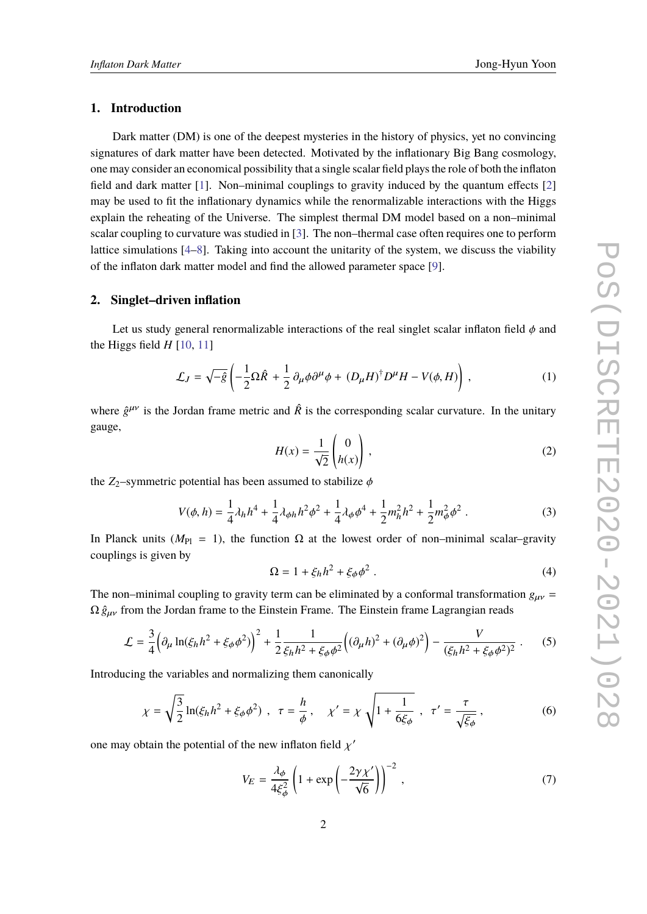# **1. Introduction**

Dark matter (DM) is one of the deepest mysteries in the history of physics, yet no convincing signatures of dark matter have been detected. Motivated by the inflationary Big Bang cosmology, one may consider an economical possibility that a single scalar field plays the role of both the inflaton field and dark matter [\[1\]](#page-5-0). Non–minimal couplings to gravity induced by the quantum effects [\[2\]](#page-5-1) may be used to fit the inflationary dynamics while the renormalizable interactions with the Higgs explain the reheating of the Universe. The simplest thermal DM model based on a non–minimal scalar coupling to curvature was studied in [\[3\]](#page-5-2). The non–thermal case often requires one to perform lattice simulations [\[4–](#page-5-3)[8\]](#page-5-4). Taking into account the unitarity of the system, we discuss the viability of the inflaton dark matter model and find the allowed parameter space [\[9\]](#page-5-5).

#### **2. Singlet–driven inflation**

Let us study general renormalizable interactions of the real singlet scalar inflaton field  $\phi$  and the Higgs field  $H$  [\[10,](#page-5-6) [11\]](#page-5-7)

$$
\mathcal{L}_J = \sqrt{-\hat{g}} \left( -\frac{1}{2} \Omega \hat{R} + \frac{1}{2} \partial_\mu \phi \partial^\mu \phi + (D_\mu H)^\dagger D^\mu H - V(\phi, H) \right) , \qquad (1)
$$

where  $\hat{g}^{\mu\nu}$  is the Jordan frame metric and  $\hat{R}$  is the corresponding scalar curvature. In the unitary gauge,

$$
H(x) = \frac{1}{\sqrt{2}} \begin{pmatrix} 0 \\ h(x) \end{pmatrix},
$$
 (2)

the  $Z_2$ –symmetric potential has been assumed to stabilize  $\phi$ 

$$
V(\phi, h) = \frac{1}{4}\lambda_h h^4 + \frac{1}{4}\lambda_{\phi h} h^2 \phi^2 + \frac{1}{4}\lambda_{\phi} \phi^4 + \frac{1}{2}m_h^2 h^2 + \frac{1}{2}m_{\phi}^2 \phi^2.
$$
 (3)

In Planck units ( $M_{\text{Pl}} = 1$ ), the function  $\Omega$  at the lowest order of non–minimal scalar–gravity couplings is given by

$$
\Omega = 1 + \xi_h h^2 + \xi_\phi \phi^2 \tag{4}
$$

The non–minimal coupling to gravity term can be eliminated by a conformal transformation  $g_{\mu\nu}$  =  $\Omega \hat{g}_{\mu\nu}$  from the Jordan frame to the Einstein Frame. The Einstein frame Lagrangian reads

$$
\mathcal{L} = \frac{3}{4} \left( \partial_{\mu} \ln(\xi_{h} h^{2} + \xi_{\phi} \phi^{2}) \right)^{2} + \frac{1}{2} \frac{1}{\xi_{h} h^{2} + \xi_{\phi} \phi^{2}} \left( (\partial_{\mu} h)^{2} + (\partial_{\mu} \phi)^{2} \right) - \frac{V}{(\xi_{h} h^{2} + \xi_{\phi} \phi^{2})^{2}} . \tag{5}
$$

Introducing the variables and normalizing them canonically

$$
\chi = \sqrt{\frac{3}{2}} \ln(\xi_h h^2 + \xi_\phi \phi^2) , \quad \tau = \frac{h}{\phi} , \quad \chi' = \chi \sqrt{1 + \frac{1}{6\xi_\phi}} , \quad \tau' = \frac{\tau}{\sqrt{\xi_\phi}} , \tag{6}
$$

one may obtain the potential of the new inflaton field  $\chi'$ 

$$
V_E = \frac{\lambda_{\phi}}{4\xi_{\phi}^2} \left( 1 + \exp\left( -\frac{2\gamma \chi'}{\sqrt{6}} \right) \right)^{-2}, \tag{7}
$$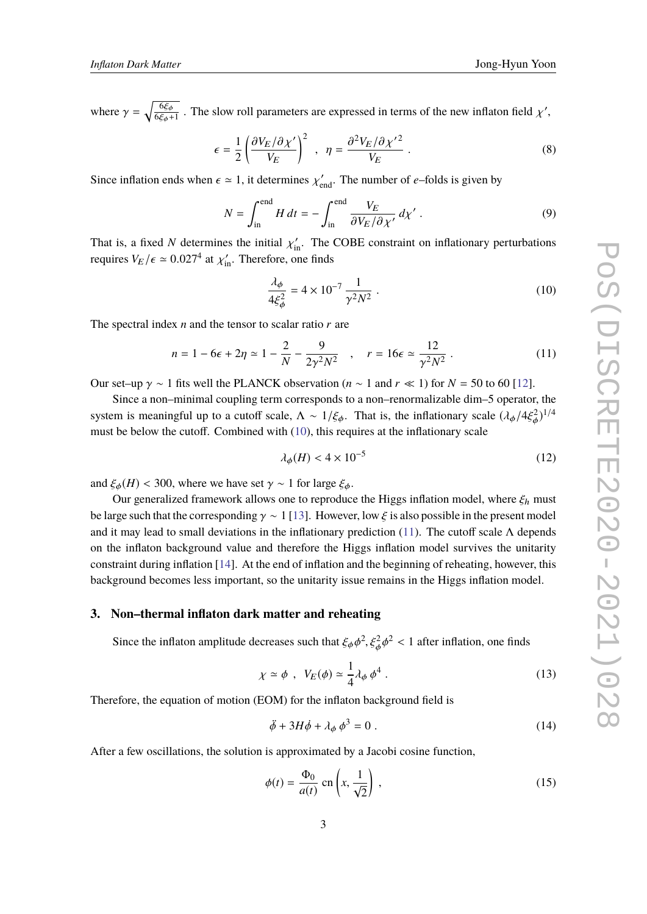where  $\gamma = \sqrt{\frac{6\xi_{\phi}}{6\xi_{\phi}+}}$  $\frac{6\xi_{\phi}}{6\xi_{\phi}+1}$ . The slow roll parameters are expressed in terms of the new inflaton field  $\chi'$ ,

$$
\epsilon = \frac{1}{2} \left( \frac{\partial V_E / \partial \chi'}{V_E} \right)^2 , \quad \eta = \frac{\partial^2 V_E / \partial \chi'^2}{V_E} . \tag{8}
$$

Since inflation ends when  $\epsilon \simeq 1$ , it determines  $\chi'_{\text{end}}$ . The number of *e*–folds is given by

$$
N = \int_{\text{in}}^{\text{end}} H \, dt = -\int_{\text{in}}^{\text{end}} \frac{V_E}{\partial V_E / \partial \chi'} \, d\chi' \,. \tag{9}
$$

That is, a fixed *N* determines the initial  $\chi'_{\text{in}}$ . The COBE constraint on inflationary perturbations requires  $V_{\text{in}}$  (see 0.027<sup>4</sup> et  $\chi'$ ). Therefore, are finde requires  $V_E / \epsilon \simeq 0.027^4$  at  $\chi'_{\rm in}$ . Therefore, one finds

<span id="page-2-0"></span>
$$
\frac{\lambda_{\phi}}{4\xi_{\phi}^2} = 4 \times 10^{-7} \frac{1}{\gamma^2 N^2} \ . \tag{10}
$$

The spectral index *n* and the tensor to scalar ratio *r* are

<span id="page-2-1"></span>
$$
n = 1 - 6\epsilon + 2\eta \simeq 1 - \frac{2}{N} - \frac{9}{2\gamma^2 N^2} , \quad r = 16\epsilon \simeq \frac{12}{\gamma^2 N^2} . \tag{11}
$$

Our set–up  $\gamma \sim 1$  fits well the PLANCK observation ( $n \sim 1$  and  $r \ll 1$ ) for  $N = 50$  to 60 [\[12\]](#page-5-8).

Since a non–minimal coupling term corresponds to a non–renormalizable dim–5 operator, the system is meaningful up to a cutoff scale,  $\Lambda \sim 1/\xi_{\phi}$ . That is, the inflationary scale  $(\lambda_{\phi}/4\xi_{\phi}^2)^{1/4}$ φ must be below the cutoff. Combined with [\(10\)](#page-2-0), this requires at the inflationary scale

<span id="page-2-4"></span>
$$
\lambda_{\phi}(H) < 4 \times 10^{-5} \tag{12}
$$

and  $\xi_{\phi}(H)$  < 300, where we have set  $\gamma \sim 1$  for large  $\xi_{\phi}$ .

Our generalized framework allows one to reproduce the Higgs inflation model, where  $\xi_h$  must be large such that the corresponding  $\gamma \sim 1$  [\[13\]](#page-5-9). However, low  $\xi$  is also possible in the present model and it may lead to small deviations in the inflationary prediction [\(11\)](#page-2-1). The cutoff scale  $\Lambda$  depends on the inflaton background value and therefore the Higgs inflation model survives the unitarity constraint during inflation [\[14\]](#page-5-10). At the end of inflation and the beginning of reheating, however, this background becomes less important, so the unitarity issue remains in the Higgs inflation model.

#### **3. Non–thermal inflaton dark matter and reheating**

Since the inflaton amplitude decreases such that  $\xi_{\phi} \phi^2$ ,  $\xi_{\phi}^2 \phi$  $2 < 1$  after inflation, one finds

$$
\chi \simeq \phi \ , \ V_E(\phi) \simeq \frac{1}{4} \lambda_\phi \, \phi^4 \ . \tag{13}
$$

φ

Therefore, the equation of motion (EOM) for the inflaton background field is

<span id="page-2-2"></span>
$$
\ddot{\phi} + 3H\dot{\phi} + \lambda_{\phi} \phi^3 = 0 \tag{14}
$$

After a few oscillations, the solution is approximated by a Jacobi cosine function,

<span id="page-2-3"></span>
$$
\phi(t) = \frac{\Phi_0}{a(t)} \text{ cn}\left(x, \frac{1}{\sqrt{2}}\right),\tag{15}
$$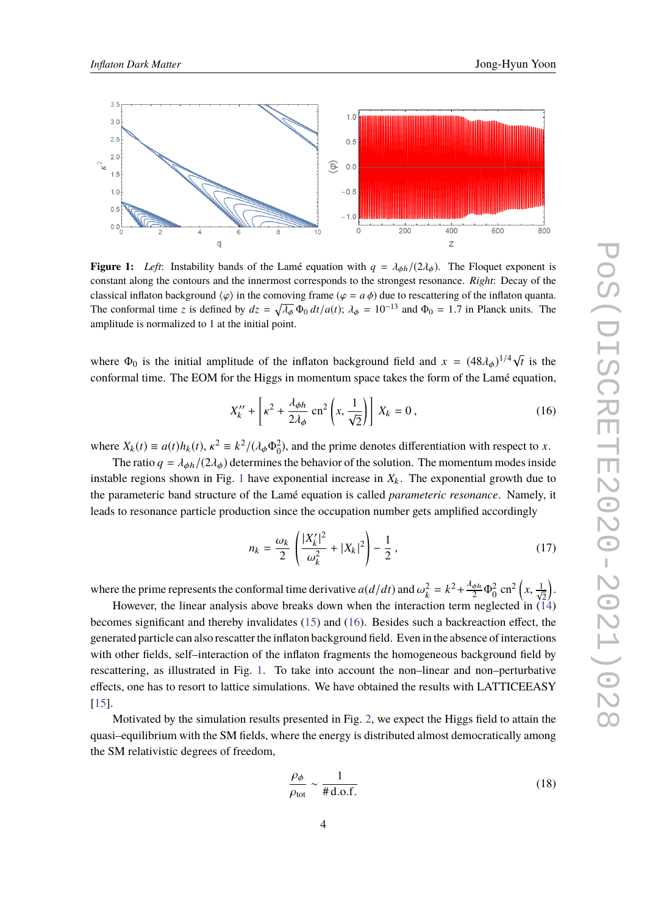<span id="page-3-0"></span>

**Figure 1:** *Left*: Instability bands of the Lamé equation with  $q = \lambda_{\phi h}/(2\lambda_{\phi})$ . The Floquet exponent is constant along the contours and the innermost corresponds to the strongest resonance. *Right*: Decay of the classical inflaton background  $\langle \varphi \rangle$  in the comoving frame ( $\varphi = a \phi$ ) due to rescattering of the inflaton quanta. The conformal time *z* is defined by  $dz = \sqrt{\lambda_{\phi}} \Phi_0 dt/a(t)$ ;  $\lambda_{\phi} = 10^{-13}$  and  $\Phi_0 = 1.7$  in Planck units. The amplitude is normalized to 1 at the initial point.

where  $\Phi_0$  is the initial amplitude of the inflaton background field and  $x = (48\lambda_\phi)^{1/4} \sqrt{\frac{(\text{m} \cdot \text{m})^2}{2}}$ *t* is the conformal time. The EOM for the Higgs in momentum space takes the form of the Lamé equation,

<span id="page-3-1"></span>
$$
X_k^{\prime\prime} + \left[\kappa^2 + \frac{\lambda_{\phi h}}{2\lambda_{\phi}} \operatorname{cn}^2\left(x, \frac{1}{\sqrt{2}}\right)\right] X_k = 0, \qquad (16)
$$

where  $X_k(t) \equiv a(t)h_k(t)$ ,  $\kappa^2 \equiv k^2/(\lambda_\phi \Phi_0^2)$ , and the prime denotes differentiation with respect to *x*.<br>The gastic  $s = k^2/(2k)$  determines the habovior of the solution. The momentum modes inside

The ratio  $q = \lambda_{\phi h}/(2\lambda_{\phi})$  determines the behavior of the solution. The momentum modes inside instable regions shown in Fig. [1](#page-3-0) have exponential increase in  $X_k$ . The exponential growth due to the parameteric band structure of the Lamé equation is called *parameteric resonance*. Namely, it leads to resonance particle production since the occupation number gets amplified accordingly

$$
n_k = \frac{\omega_k}{2} \left( \frac{|X'_k|^2}{\omega_k^2} + |X_k|^2 \right) - \frac{1}{2},\tag{17}
$$

where the prime represents the conformal time derivative  $a(d/dt)$  and  $\omega_k^2 = k^2 + \frac{\lambda_{\phi h}}{2} \Phi_0^2$  cn<sup>2</sup>  $\left(x, \frac{1}{\sqrt{2}}\right)$ .

However, the linear analysis above breaks down when the interaction term neglected in  $(14)$ becomes significant and thereby invalidates [\(15\)](#page-2-3) and [\(16\)](#page-3-1). Besides such a backreaction effect, the generated particle can also rescatter the inflaton background field. Even in the absence of interactions with other fields, self–interaction of the inflaton fragments the homogeneous background field by rescattering, as illustrated in Fig. [1.](#page-3-0) To take into account the non–linear and non–perturbative effects, one has to resort to lattice simulations. We have obtained the results with LATTICEEASY [\[15\]](#page-5-11).

Motivated by the simulation results presented in Fig. [2,](#page-4-0) we expect the Higgs field to attain the quasi–equilibrium with the SM fields, where the energy is distributed almost democratically among the SM relativistic degrees of freedom,

$$
\frac{\rho_{\phi}}{\rho_{\text{tot}}} \sim \frac{1}{\# \text{d.o.f.}}\tag{18}
$$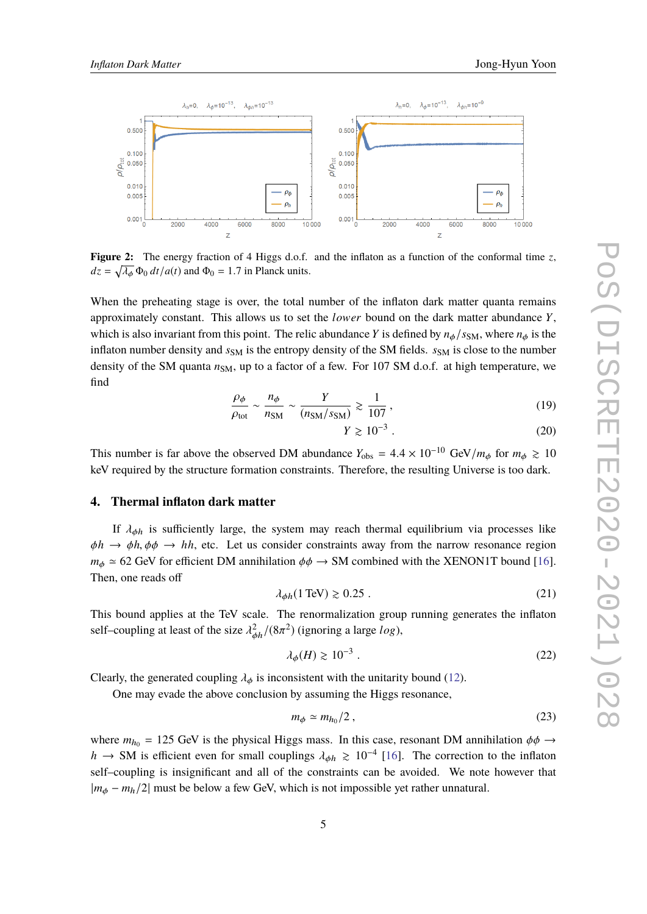<span id="page-4-0"></span>

**Figure 2:** The energy fraction of 4 Higgs d.o.f. and the inflaton as a function of the conformal time  $z$ ,  $dz = \sqrt{\lambda_{\phi}} \Phi_0 dt / a(t)$  and  $\Phi_0 = 1.7$  in Planck units.

When the preheating stage is over, the total number of the inflaton dark matter quanta remains approximately constant. This allows us to set the *lo*w*er* bound on the dark matter abundance *Y*, which is also invariant from this point. The relic abundance *Y* is defined by  $n_{\phi}/s_{\rm SM}$ , where  $n_{\phi}$  is the inflaton number density and  $s<sub>SM</sub>$  is the entropy density of the SM fields.  $s<sub>SM</sub>$  is close to the number density of the SM quanta  $n<sub>SM</sub>$ , up to a factor of a few. For 107 SM d.o.f. at high temperature, we find

$$
\frac{\rho_{\phi}}{\rho_{\text{tot}}} \sim \frac{n_{\phi}}{n_{\text{SM}}} \sim \frac{Y}{(n_{\text{SM}}/s_{\text{SM}})} \gtrsim \frac{1}{107},\tag{19}
$$

$$
\geqslant 10^{-3} \ . \tag{20}
$$

This number is far above the observed DM abundance  $Y_{\text{obs}} = 4.4 \times 10^{-10} \text{ GeV}/m_{\phi}$  for  $m_{\phi} \ge 10$ keV required by the structure formation constraints. Therefore, the resulting Universe is too dark.

*Y* \}

#### **4. Thermal inflaton dark matter**

If  $\lambda_{\phi h}$  is sufficiently large, the system may reach thermal equilibrium via processes like  $\phi h \to \phi h, \phi \phi \to hh$ , etc. Let us consider constraints away from the narrow resonance region  $m_{\phi} \simeq 62$  GeV for efficient DM annihilation  $\phi \phi \rightarrow SM$  combined with the XENON1T bound [\[16\]](#page-5-12). Then, one reads off

$$
\lambda_{\phi h} (1 \text{ TeV}) \gtrsim 0.25 \tag{21}
$$

This bound applies at the TeV scale. The renormalization group running generates the inflaton self–coupling at least of the size  $\lambda_{\phi h}^2/(8\pi^2)$  (ignoring a large *log*),

$$
\lambda_{\phi}(H) \gtrsim 10^{-3} \ . \tag{22}
$$

Clearly, the generated coupling  $\lambda_{\phi}$  is inconsistent with the unitarity bound [\(12\)](#page-2-4).

One may evade the above conclusion by assuming the Higgs resonance,

$$
m_{\phi} \simeq m_{h_0}/2 \,, \tag{23}
$$

where  $m_{h_0} = 125$  GeV is the physical Higgs mass. In this case, resonant DM annihilation  $\phi \phi \rightarrow$ *h* → SM is efficient even for small couplings  $\lambda_{\phi h} \ge 10^{-4}$  [\[16\]](#page-5-12). The correction to the inflaton self–coupling is insignificant and all of the constraints can be avoided. We note however that <sup>|</sup>*m*φ <sup>−</sup> *<sup>m</sup>*h/2<sup>|</sup> must be below a few GeV, which is not impossible yet rather unnatural.